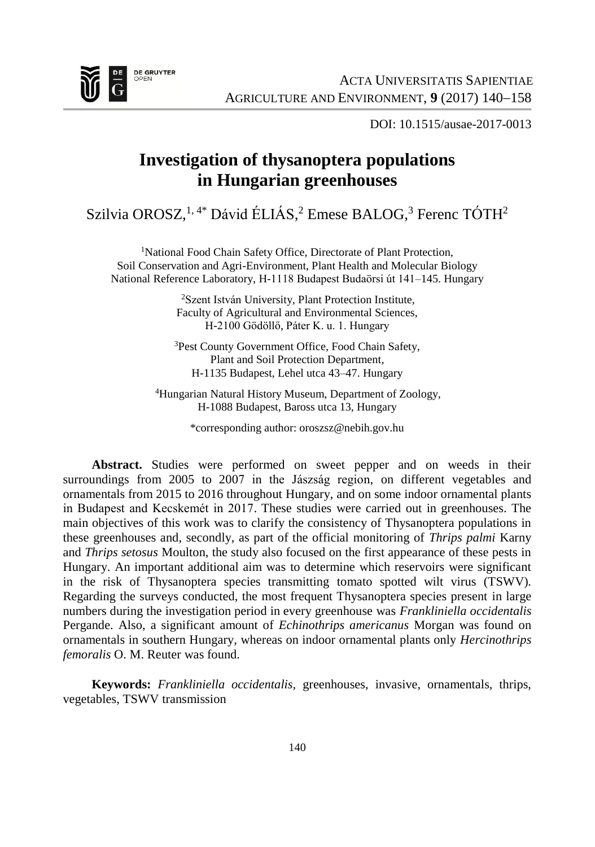

DOI: 10.1515/ausae-2017-0013

## **Investigation of thysanoptera populations in Hungarian greenhouses**

Szilvia OROSZ,<sup>1, 4\*</sup> Dávid ÉLIÁS,<sup>2</sup> Emese BALOG,<sup>3</sup> Ferenc TÓTH<sup>2</sup>

<sup>1</sup>National Food Chain Safety Office, Directorate of Plant Protection, Soil Conservation and Agri-Environment, Plant Health and Molecular Biology National Reference Laboratory, H-1118 Budapest Budaörsi út 141–145. Hungary

> <sup>2</sup>Szent István University, Plant Protection Institute, Faculty of Agricultural and Environmental Sciences, H-2100 Gödöllő, Páter K. u. 1. Hungary

> <sup>3</sup>Pest County Government Office, Food Chain Safety, Plant and Soil Protection Department, H-1135 Budapest, Lehel utca 43–47. Hungary

<sup>4</sup>Hungarian Natural History Museum, Department of Zoology, H-1088 Budapest, Baross utca 13, Hungary

\*corresponding author: oroszsz@nebih.gov.hu

**Abstract.** Studies were performed on sweet pepper and on weeds in their surroundings from 2005 to 2007 in the Jászság region, on different vegetables and ornamentals from 2015 to 2016 throughout Hungary, and on some indoor ornamental plants in Budapest and Kecskemét in 2017. These studies were carried out in greenhouses. The main objectives of this work was to clarify the consistency of Thysanoptera populations in these greenhouses and, secondly, as part of the official monitoring of *Thrips palmi* Karny and *Thrips setosus* Moulton, the study also focused on the first appearance of these pests in Hungary. An important additional aim was to determine which reservoirs were significant in the risk of Thysanoptera species transmitting tomato spotted wilt virus (TSWV)*.* Regarding the surveys conducted, the most frequent Thysanoptera species present in large numbers during the investigation period in every greenhouse was *Frankliniella occidentalis* Pergande. Also, a significant amount of *Echinothrips americanus* Morgan was found on ornamentals in southern Hungary*,* whereas on indoor ornamental plants only *Hercinothrips femoralis* O. M. Reuter was found.

**Keywords:** *Frankliniella occidentalis,* greenhouses, invasive, ornamentals, thrips, vegetables, TSWV transmission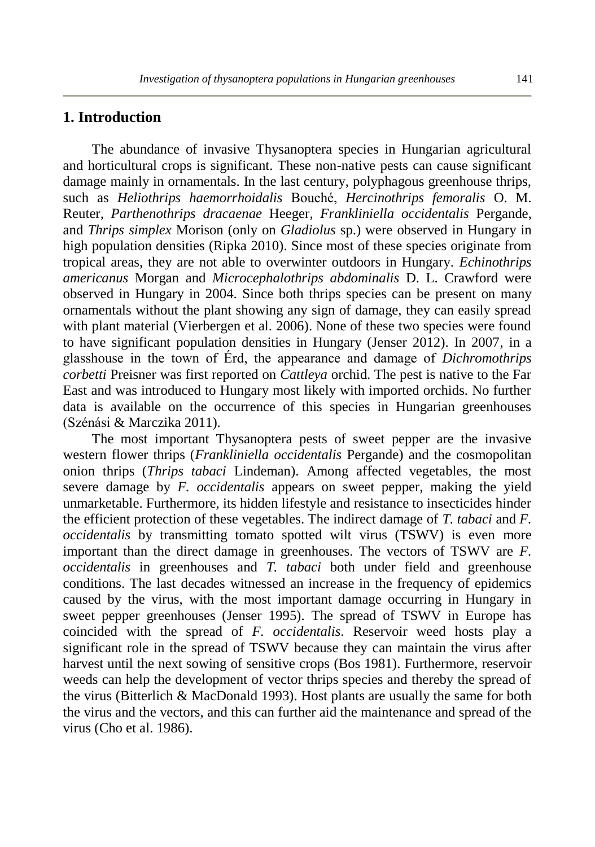## **1. Introduction**

The abundance of invasive Thysanoptera species in Hungarian agricultural and horticultural crops is significant. These non-native pests can cause significant damage mainly in ornamentals. In the last century, polyphagous greenhouse thrips, such as *Heliothrips haemorrhoidalis* Bouché, *Hercinothrips femoralis* O. M. Reuter*, Parthenothrips dracaenae* Heeger*, Frankliniella occidentalis* Pergande, and *Thrips simplex* Morison (only on *Gladiolus* sp.) were observed in Hungary in high population densities (Ripka 2010). Since most of these species originate from tropical areas, they are not able to overwinter outdoors in Hungary. *Echinothrips americanus* Morgan and *Microcephalothrips abdominalis* D. L. Crawford were observed in Hungary in 2004. Since both thrips species can be present on many ornamentals without the plant showing any sign of damage, they can easily spread with plant material (Vierbergen et al. 2006). None of these two species were found to have significant population densities in Hungary (Jenser 2012). In 2007, in a glasshouse in the town of Érd, the appearance and damage of *Dichromothrips corbetti* Preisner was first reported on *Cattleya* orchid. The pest is native to the Far East and was introduced to Hungary most likely with imported orchids. No further data is available on the occurrence of this species in Hungarian greenhouses (Szénási & Marczika 2011).

The most important Thysanoptera pests of sweet pepper are the invasive western flower thrips (*Frankliniella occidentalis* Pergande) and the cosmopolitan onion thrips (*Thrips tabaci* Lindeman). Among affected vegetables, the most severe damage by *F. occidentalis* appears on sweet pepper, making the yield unmarketable. Furthermore, its hidden lifestyle and resistance to insecticides hinder the efficient protection of these vegetables. The indirect damage of *T. tabaci* and *F. occidentalis* by transmitting tomato spotted wilt virus (TSWV) is even more important than the direct damage in greenhouses. The vectors of TSWV are *F. occidentalis* in greenhouses and *T. tabaci* both under field and greenhouse conditions. The last decades witnessed an increase in the frequency of epidemics caused by the virus, with the most important damage occurring in Hungary in sweet pepper greenhouses (Jenser 1995). The spread of TSWV in Europe has coincided with the spread of *F. occidentalis*. Reservoir weed hosts play a significant role in the spread of TSWV because they can maintain the virus after harvest until the next sowing of sensitive crops (Bos 1981). Furthermore, reservoir weeds can help the development of vector thrips species and thereby the spread of the virus (Bitterlich & MacDonald 1993). Host plants are usually the same for both the virus and the vectors, and this can further aid the maintenance and spread of the virus (Cho et al. 1986).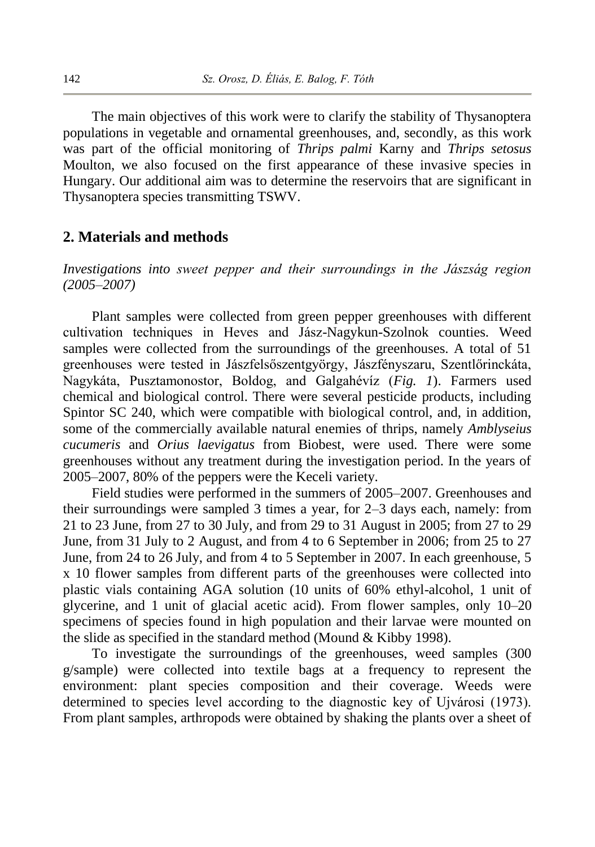The main objectives of this work were to clarify the stability of Thysanoptera populations in vegetable and ornamental greenhouses, and, secondly, as this work was part of the official monitoring of *Thrips palmi* Karny and *Thrips setosus* Moulton, we also focused on the first appearance of these invasive species in Hungary. Our additional aim was to determine the reservoirs that are significant in Thysanoptera species transmitting TSWV.

## **2. Materials and methods**

*Investigations into sweet pepper and their surroundings in the Jászság region (2005–2007)*

Plant samples were collected from green pepper greenhouses with different cultivation techniques in Heves and Jász-Nagykun-Szolnok counties. Weed samples were collected from the surroundings of the greenhouses. A total of 51 greenhouses were tested in Jászfelsőszentgyörgy, Jászfényszaru, Szentlőrinckáta, Nagykáta, Pusztamonostor, Boldog, and Galgahévíz (*Fig. 1*). Farmers used chemical and biological control. There were several pesticide products, including Spintor SC 240, which were compatible with biological control, and, in addition, some of the commercially available natural enemies of thrips, namely *Amblyseius cucumeris* and *Orius laevigatus* from Biobest, were used. There were some greenhouses without any treatment during the investigation period. In the years of 2005–2007, 80% of the peppers were the Keceli variety.

Field studies were performed in the summers of 2005–2007. Greenhouses and their surroundings were sampled 3 times a year, for 2–3 days each, namely: from 21 to 23 June, from 27 to 30 July, and from 29 to 31 August in 2005; from 27 to 29 June, from 31 July to 2 August, and from 4 to 6 September in 2006; from 25 to 27 June, from 24 to 26 July, and from 4 to 5 September in 2007. In each greenhouse, 5 x 10 flower samples from different parts of the greenhouses were collected into plastic vials containing AGA solution (10 units of 60% ethyl-alcohol, 1 unit of glycerine, and 1 unit of glacial acetic acid). From flower samples, only 10–20 specimens of species found in high population and their larvae were mounted on the slide as specified in the standard method (Mound & Kibby 1998).

To investigate the surroundings of the greenhouses, weed samples (300 g/sample) were collected into textile bags at a frequency to represent the environment: plant species composition and their coverage. Weeds were determined to species level according to the diagnostic key of Ujvárosi (1973). From plant samples, arthropods were obtained by shaking the plants over a sheet of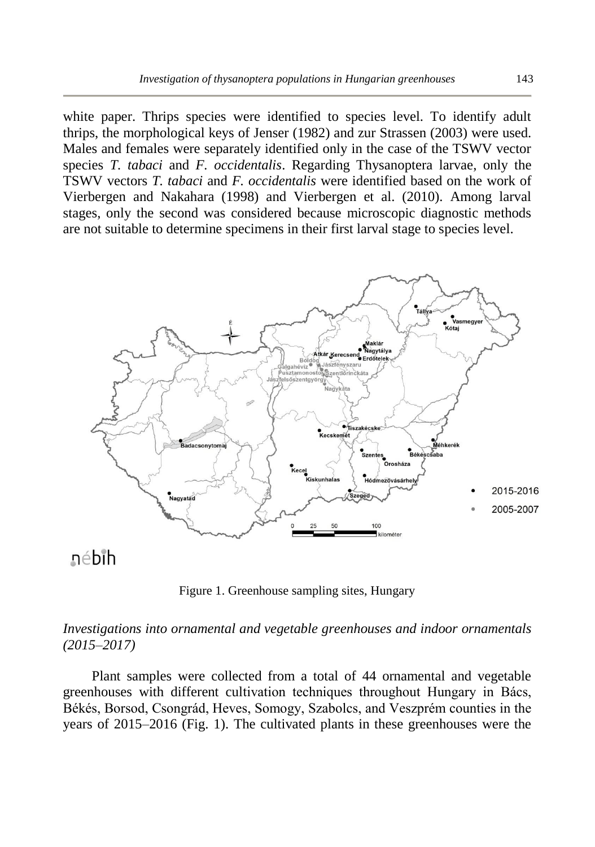white paper. Thrips species were identified to species level. To identify adult thrips, the morphological keys of Jenser (1982) and zur Strassen (2003) were used. Males and females were separately identified only in the case of the TSWV vector species *T. tabaci* and *F. occidentalis*. Regarding Thysanoptera larvae, only the TSWV vectors *T. tabaci* and *F. occidentalis* were identified based on the work of Vierbergen and Nakahara (1998) and Vierbergen et al. (2010). Among larval stages, only the second was considered because microscopic diagnostic methods are not suitable to determine specimens in their first larval stage to species level.



# nébih

Figure 1. Greenhouse sampling sites, Hungary

## *Investigations into ornamental and vegetable greenhouses and indoor ornamentals (2015–2017)*

Plant samples were collected from a total of 44 ornamental and vegetable greenhouses with different cultivation techniques throughout Hungary in Bács, Békés, Borsod, Csongrád, Heves, Somogy, Szabolcs, and Veszprém counties in the years of 2015–2016 (Fig. 1). The cultivated plants in these greenhouses were the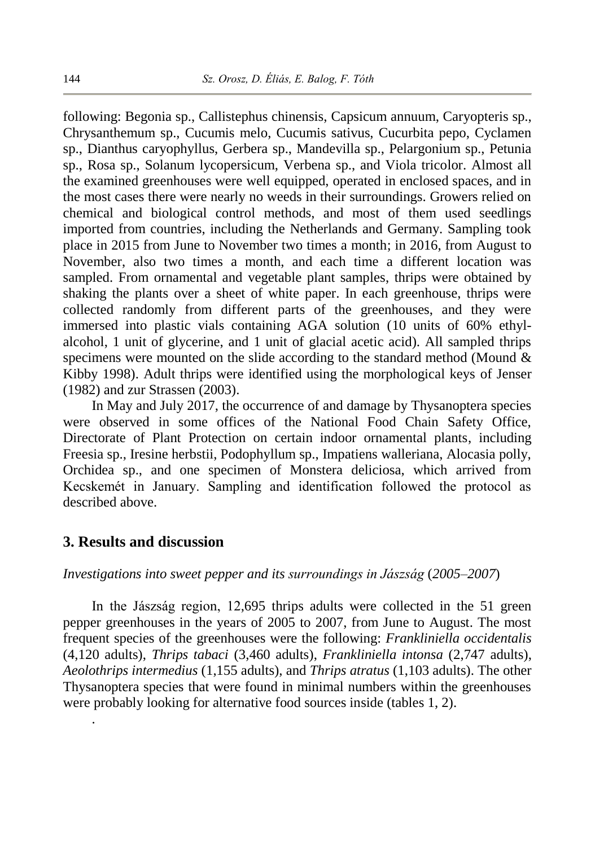following: Begonia sp., Callistephus chinensis, Capsicum annuum, Caryopteris sp., Chrysanthemum sp., Cucumis melo, Cucumis sativus, Cucurbita pepo, Cyclamen sp., Dianthus caryophyllus, Gerbera sp., Mandevilla sp., Pelargonium sp., Petunia sp., Rosa sp., Solanum lycopersicum, Verbena sp., and Viola tricolor. Almost all the examined greenhouses were well equipped, operated in enclosed spaces, and in the most cases there were nearly no weeds in their surroundings. Growers relied on chemical and biological control methods, and most of them used seedlings imported from countries, including the Netherlands and Germany. Sampling took place in 2015 from June to November two times a month; in 2016, from August to November, also two times a month, and each time a different location was sampled. From ornamental and vegetable plant samples, thrips were obtained by shaking the plants over a sheet of white paper. In each greenhouse, thrips were collected randomly from different parts of the greenhouses, and they were immersed into plastic vials containing AGA solution (10 units of 60% ethylalcohol, 1 unit of glycerine, and 1 unit of glacial acetic acid). All sampled thrips specimens were mounted on the slide according to the standard method (Mound  $\&$ Kibby 1998). Adult thrips were identified using the morphological keys of Jenser (1982) and zur Strassen (2003).

In May and July 2017, the occurrence of and damage by Thysanoptera species were observed in some offices of the National Food Chain Safety Office, Directorate of Plant Protection on certain indoor ornamental plants, including Freesia sp., Iresine herbstii, Podophyllum sp., Impatiens walleriana, Alocasia polly, Orchidea sp., and one specimen of Monstera deliciosa, which arrived from Kecskemét in January. Sampling and identification followed the protocol as described above.

#### **3. Results and discussion**

.

#### *Investigations into sweet pepper and its surroundings in Jászság* (*2005–2007*)

In the Jászság region, 12,695 thrips adults were collected in the 51 green pepper greenhouses in the years of 2005 to 2007, from June to August. The most frequent species of the greenhouses were the following: *Frankliniella occidentalis* (4,120 adults), *Thrips tabaci* (3,460 adults), *Frankliniella intonsa* (2,747 adults), *Aeolothrips intermedius* (1,155 adults), and *Thrips atratus* (1,103 adults). The other Thysanoptera species that were found in minimal numbers within the greenhouses were probably looking for alternative food sources inside (tables 1, 2).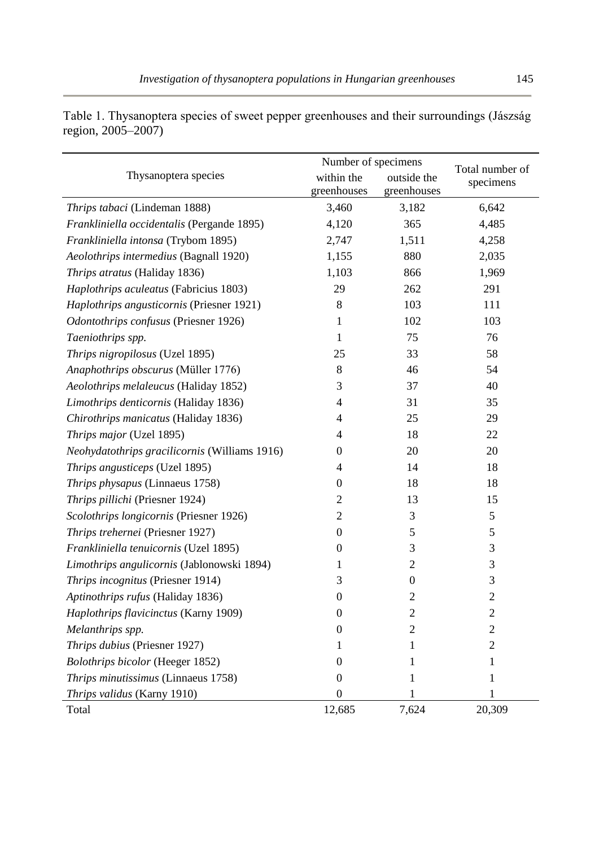|                                               | Number of specimens | Total number of  |                |
|-----------------------------------------------|---------------------|------------------|----------------|
| Thysanoptera species                          | within the          | outside the      | specimens      |
|                                               | greenhouses         | greenhouses      |                |
| Thrips tabaci (Lindeman 1888)                 | 3,460               | 3,182            | 6,642          |
| Frankliniella occidentalis (Pergande 1895)    | 4,120               | 365              | 4,485          |
| Frankliniella intonsa (Trybom 1895)           | 2,747               | 1,511            | 4,258          |
| Aeolothrips intermedius (Bagnall 1920)        | 1,155               | 880              | 2,035          |
| Thrips atratus (Haliday 1836)                 | 1,103               | 866              | 1,969          |
| Haplothrips aculeatus (Fabricius 1803)        | 29                  | 262              | 291            |
| Haplothrips angusticornis (Priesner 1921)     | $\,$ 8 $\,$         | 103              | 111            |
| Odontothrips confusus (Priesner 1926)         | 1                   | 102              | 103            |
| Taeniothrips spp.                             | 1                   | 75               | 76             |
| Thrips nigropilosus (Uzel 1895)               | 25                  | 33               | 58             |
| Anaphothrips obscurus (Müller 1776)           | 8                   | 46               | 54             |
| Aeolothrips melaleucus (Haliday 1852)         | 3                   | 37               | 40             |
| Limothrips denticornis (Haliday 1836)         | $\overline{4}$      | 31               | 35             |
| Chirothrips manicatus (Haliday 1836)          | $\overline{4}$      | 25               | 29             |
| Thrips major (Uzel 1895)                      | $\overline{4}$      | 18               | 22             |
| Neohydatothrips gracilicornis (Williams 1916) | $\boldsymbol{0}$    | 20               | 20             |
| Thrips angusticeps (Uzel 1895)                | $\overline{4}$      | 14               | 18             |
| Thrips physapus (Linnaeus 1758)               | $\boldsymbol{0}$    | 18               | 18             |
| Thrips pillichi (Priesner 1924)               | $\overline{c}$      | 13               | 15             |
| Scolothrips longicornis (Priesner 1926)       | $\overline{c}$      | 3                | 5              |
| Thrips trehernei (Priesner 1927)              | $\mathbf{0}$        | 5                | 5              |
| Frankliniella tenuicornis (Uzel 1895)         | $\mathbf{0}$        | 3                | 3              |
| Limothrips angulicornis (Jablonowski 1894)    | 1                   | $\overline{c}$   | 3              |
| Thrips incognitus (Priesner 1914)             | 3                   | $\boldsymbol{0}$ | $\mathfrak{Z}$ |
| Aptinothrips rufus (Haliday 1836)             | $\overline{0}$      | $\overline{c}$   | $\overline{c}$ |
| Haplothrips flavicinctus (Karny 1909)         | $\mathbf{0}$        | $\overline{c}$   | $\overline{c}$ |
| Melanthrips spp.                              | $\mathbf{0}$        | 2                | $\overline{c}$ |
| Thrips dubius (Priesner 1927)                 | 1                   | 1                | $\mathfrak{2}$ |
| <b>Bolothrips bicolor</b> (Heeger 1852)       | $\boldsymbol{0}$    | 1                | 1              |
| Thrips minutissimus (Linnaeus 1758)           | $\Omega$            | 1                | 1              |
| Thrips validus (Karny 1910)                   | $\overline{0}$      | 1                | 1              |
| Total                                         | 12,685              | 7,624            | 20,309         |

Table 1. Thysanoptera species of sweet pepper greenhouses and their surroundings (Jászság region, 2005–2007)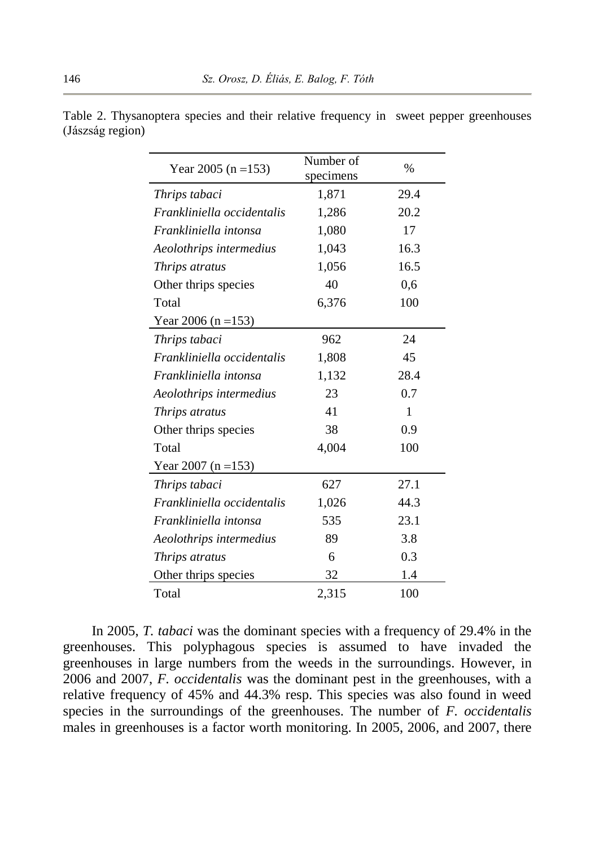| Year 2005 (n = 153)        | Number of | $\%$ |
|----------------------------|-----------|------|
|                            | specimens |      |
| Thrips tabaci              | 1,871     | 29.4 |
| Frankliniella occidentalis | 1,286     | 20.2 |
| Frankliniella intonsa      | 1,080     | 17   |
| Aeolothrips intermedius    | 1,043     | 16.3 |
| Thrips atratus             | 1,056     | 16.5 |
| Other thrips species       | 40        | 0,6  |
| Total                      | 6,376     | 100  |
| Year 2006 (n = 153)        |           |      |
| Thrips tabaci              | 962       | 24   |
| Frankliniella occidentalis | 1,808     | 45   |
| Frankliniella intonsa      | 1,132     | 28.4 |
| Aeolothrips intermedius    | 23        | 0.7  |
| Thrips atratus             | 41        | 1    |
| Other thrips species       | 38        | 0.9  |
| Total                      | 4,004     | 100  |
| Year 2007 (n = 153)        |           |      |
| Thrips tabaci              | 627       | 27.1 |
| Frankliniella occidentalis | 1,026     | 44.3 |
| Frankliniella intonsa      | 535       | 23.1 |
| Aeolothrips intermedius    | 89        | 3.8  |
| Thrips atratus             | 6         | 0.3  |
| Other thrips species       | 32        | 1.4  |
| Total                      | 2,315     | 100  |

Table 2. Thysanoptera species and their relative frequency in sweet pepper greenhouses (Jászság region)

In 2005, *T. tabaci* was the dominant species with a frequency of 29.4% in the greenhouses. This polyphagous species is assumed to have invaded the greenhouses in large numbers from the weeds in the surroundings. However, in 2006 and 2007, *F. occidentalis* was the dominant pest in the greenhouses, with a relative frequency of 45% and 44.3% resp. This species was also found in weed species in the surroundings of the greenhouses. The number of *F. occidentalis* males in greenhouses is a factor worth monitoring. In 2005, 2006, and 2007, there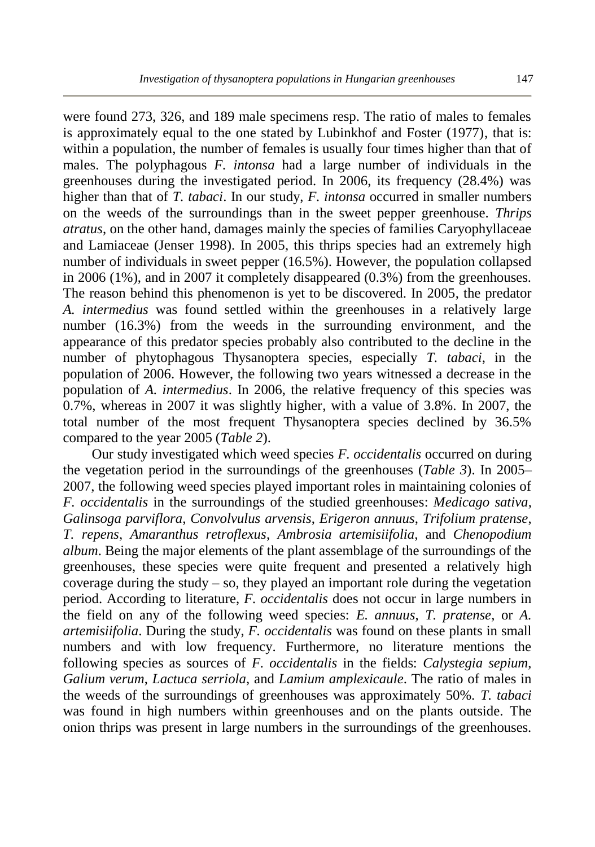were found 273, 326, and 189 male specimens resp. The ratio of males to females is approximately equal to the one stated by Lubinkhof and Foster (1977), that is: within a population, the number of females is usually four times higher than that of males. The polyphagous *F. intonsa* had a large number of individuals in the greenhouses during the investigated period. In 2006, its frequency (28.4%) was higher than that of *T. tabaci*. In our study, *F. intonsa* occurred in smaller numbers on the weeds of the surroundings than in the sweet pepper greenhouse. *Thrips atratus*, on the other hand, damages mainly the species of families Caryophyllaceae and Lamiaceae (Jenser 1998). In 2005, this thrips species had an extremely high number of individuals in sweet pepper (16.5%). However, the population collapsed in 2006 (1%), and in 2007 it completely disappeared (0.3%) from the greenhouses. The reason behind this phenomenon is yet to be discovered. In 2005, the predator *A. intermedius* was found settled within the greenhouses in a relatively large number (16.3%) from the weeds in the surrounding environment, and the appearance of this predator species probably also contributed to the decline in the number of phytophagous Thysanoptera species, especially *T. tabaci*, in the population of 2006. However, the following two years witnessed a decrease in the population of *A. intermedius*. In 2006, the relative frequency of this species was  $0.7\%$ , whereas in 2007 it was slightly higher, with a value of 3.8%. In 2007, the total number of the most frequent Thysanoptera species declined by 36.5% compared to the year 2005 (*Table 2*).

Our study investigated which weed species *F. occidentalis* occurred on during the vegetation period in the surroundings of the greenhouses (*Table 3*). In 2005– 2007, the following weed species played important roles in maintaining colonies of *F. occidentalis* in the surroundings of the studied greenhouses: *Medicago sativa*, *Galinsoga parviflora*, *Convolvulus arvensis*, *Erigeron annuus*, *Trifolium pratense*, *T. repens*, *Amaranthus retroflexus*, *Ambrosia artemisiifolia*, and *Chenopodium album*. Being the major elements of the plant assemblage of the surroundings of the greenhouses, these species were quite frequent and presented a relatively high coverage during the study – so, they played an important role during the vegetation period. According to literature, *F. occidentalis* does not occur in large numbers in the field on any of the following weed species: *E. annuus*, *T. pratense*, or *A. artemisiifolia*. During the study, *F. occidentalis* was found on these plants in small numbers and with low frequency. Furthermore, no literature mentions the following species as sources of *F. occidentalis* in the fields: *Calystegia sepium*, *Galium verum*, *Lactuca serriola*, and *Lamium amplexicaule*. The ratio of males in the weeds of the surroundings of greenhouses was approximately 50%. *T. tabaci* was found in high numbers within greenhouses and on the plants outside. The onion thrips was present in large numbers in the surroundings of the greenhouses.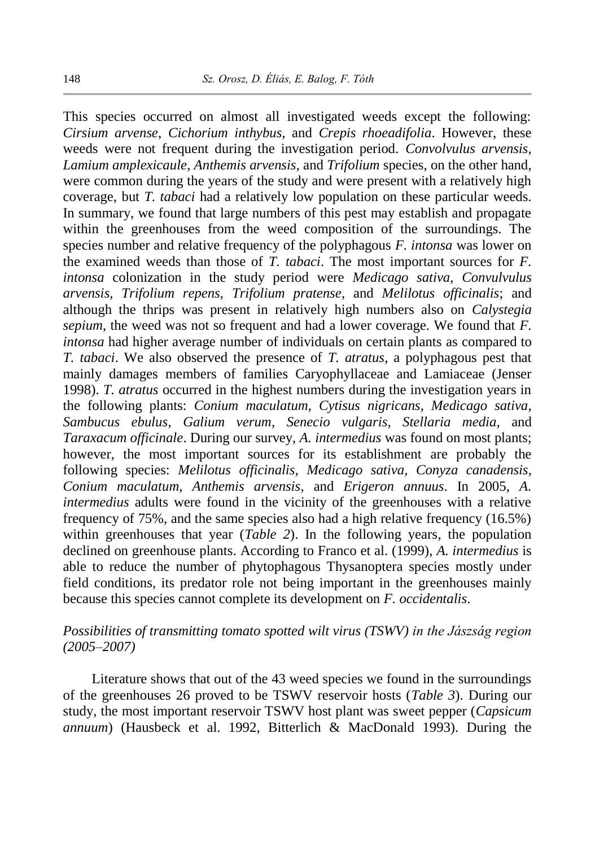This species occurred on almost all investigated weeds except the following: *Cirsium arvense*, *Cichorium inthybus*, and *Crepis rhoeadifolia*. However, these weeds were not frequent during the investigation period. *Convolvulus arvensis*, *Lamium amplexicaule*, *Anthemis arvensis*, and *Trifolium* species, on the other hand, were common during the years of the study and were present with a relatively high coverage, but *T. tabaci* had a relatively low population on these particular weeds. In summary, we found that large numbers of this pest may establish and propagate within the greenhouses from the weed composition of the surroundings. The species number and relative frequency of the polyphagous *F. intonsa* was lower on the examined weeds than those of *T. tabaci*. The most important sources for *F. intonsa* colonization in the study period were *Medicago sativa*, *Convulvulus arvensis*, *Trifolium repens*, *Trifolium pratense*, and *Melilotus officinalis*; and although the thrips was present in relatively high numbers also on *Calystegia sepium*, the weed was not so frequent and had a lower coverage. We found that *F. intonsa* had higher average number of individuals on certain plants as compared to *T. tabaci*. We also observed the presence of *T. atratus*, a polyphagous pest that mainly damages members of families Caryophyllaceae and Lamiaceae (Jenser 1998). *T. atratus* occurred in the highest numbers during the investigation years in the following plants: *Conium maculatum*, *Cytisus nigricans*, *Medicago sativa*, *Sambucus ebulus*, *Galium verum*, *Senecio vulgaris*, *Stellaria media*, and *Taraxacum officinale*. During our survey, *A. intermedius* was found on most plants; however, the most important sources for its establishment are probably the following species: *Melilotus officinalis*, *Medicago sativa*, *Conyza canadensis*, *Conium maculatum*, *Anthemis arvensis*, and *Erigeron annuus*. In 2005, *A. intermedius* adults were found in the vicinity of the greenhouses with a relative frequency of 75%, and the same species also had a high relative frequency (16.5%) within greenhouses that year (*Table 2*). In the following years, the population declined on greenhouse plants. According to Franco et al. (1999), *A. intermedius* is able to reduce the number of phytophagous Thysanoptera species mostly under field conditions, its predator role not being important in the greenhouses mainly because this species cannot complete its development on *F. occidentalis*.

## *Possibilities of transmitting tomato spotted wilt virus (TSWV) in the Jászság region (2005–2007)*

Literature shows that out of the 43 weed species we found in the surroundings of the greenhouses 26 proved to be TSWV reservoir hosts (*Table 3*). During our study, the most important reservoir TSWV host plant was sweet pepper (*Capsicum annuum*) (Hausbeck et al. 1992, Bitterlich & MacDonald 1993). During the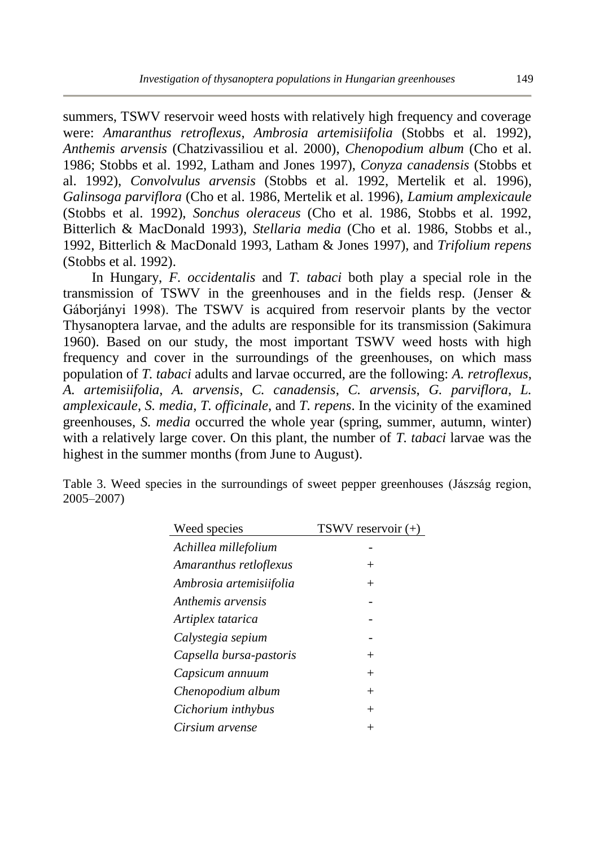summers, TSWV reservoir weed hosts with relatively high frequency and coverage were: *Amaranthus retroflexus*, *Ambrosia artemisiifolia* (Stobbs et al. 1992), *Anthemis arvensis* (Chatzivassiliou et al. 2000), *Chenopodium album* (Cho et al. 1986; Stobbs et al. 1992, Latham and Jones 1997), *Conyza canadensis* (Stobbs et al. 1992), *Convolvulus arvensis* (Stobbs et al. 1992, Mertelik et al. 1996), *Galinsoga parviflora* (Cho et al. 1986, Mertelik et al. 1996), *Lamium amplexicaule* (Stobbs et al. 1992), *Sonchus oleraceus* (Cho et al. 1986, Stobbs et al. 1992, Bitterlich & MacDonald 1993), *Stellaria media* (Cho et al. 1986, Stobbs et al., 1992, Bitterlich & MacDonald 1993, Latham & Jones 1997), and *Trifolium repens* (Stobbs et al. 1992).

In Hungary, *F. occidentalis* and *T. tabaci* both play a special role in the transmission of TSWV in the greenhouses and in the fields resp. (Jenser & Gáborjányi 1998). The TSWV is acquired from reservoir plants by the vector Thysanoptera larvae, and the adults are responsible for its transmission (Sakimura 1960). Based on our study, the most important TSWV weed hosts with high frequency and cover in the surroundings of the greenhouses, on which mass population of *T. tabaci* adults and larvae occurred, are the following: *A. retroflexus*, *A. artemisiifolia*, *A. arvensis*, *C. canadensis*, *C. arvensis*, *G. parviflora*, *L. amplexicaule*, *S. media*, *T. officinale*, and *T. repens*. In the vicinity of the examined greenhouses, *S. media* occurred the whole year (spring, summer, autumn, winter) with a relatively large cover. On this plant, the number of *T. tabaci* larvae was the highest in the summer months (from June to August).

|            |  |  | Table 3. Weed species in the surroundings of sweet pepper greenhouses (Jászság region, |  |  |  |
|------------|--|--|----------------------------------------------------------------------------------------|--|--|--|
| 2005–2007) |  |  |                                                                                        |  |  |  |

| Weed species            | TSWV reservoir (+) |
|-------------------------|--------------------|
| Achillea millefolium    |                    |
| Amaranthus retloflexus  | $^+$               |
| Ambrosia artemisiifolia | $^{+}$             |
| Anthemis arvensis       |                    |
| Artiplex tatarica       |                    |
| Calystegia sepium       |                    |
| Capsella bursa-pastoris | $^+$               |
| Capsicum annuum         | $^{+}$             |
| Chenopodium album       | $^{+}$             |
| Cichorium inthybus      | $^{+}$             |
| Cirsium arvense         |                    |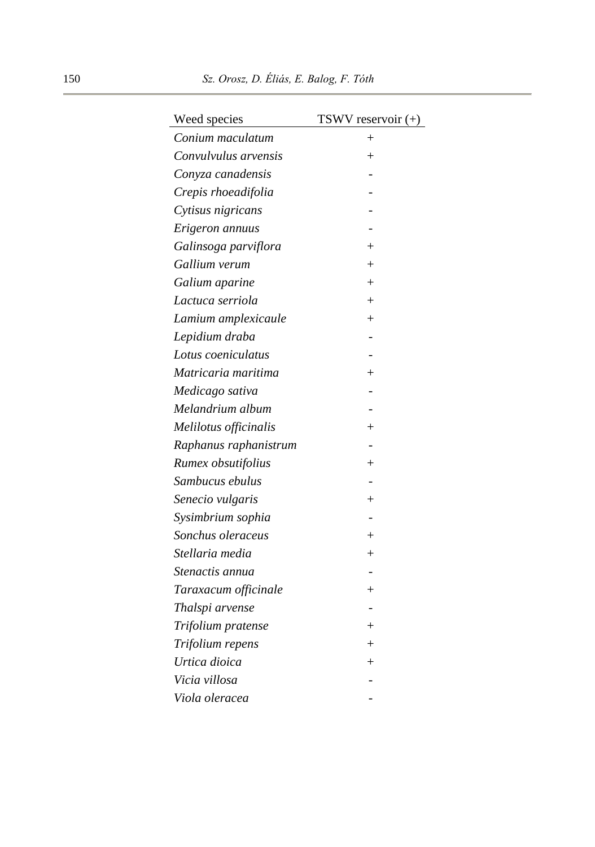| Weed species          | TSWV reservoir (+) |
|-----------------------|--------------------|
| Conium maculatum      | $^{+}$             |
| Convulvulus arvensis  | $+$                |
| Conyza canadensis     |                    |
| Crepis rhoeadifolia   |                    |
| Cytisus nigricans     |                    |
| Erigeron annuus       |                    |
| Galinsoga parviflora  | $\overline{+}$     |
| Gallium verum         | $^{+}$             |
| Galium aparine        | $^{+}$             |
| Lactuca serriola      | $+$                |
| Lamium amplexicaule   | $^{+}$             |
| Lepidium draba        |                    |
| Lotus coeniculatus    |                    |
| Matricaria maritima   | $^{+}$             |
| Medicago sativa       |                    |
| Melandrium album      |                    |
| Melilotus officinalis | $^{+}$             |
| Raphanus raphanistrum |                    |
| Rumex obsutifolius    | $^{+}$             |
| Sambucus ebulus       |                    |
| Senecio vulgaris      | $^{+}$             |
| Sysimbrium sophia     |                    |
| Sonchus oleraceus     | $^{+}$             |
| Stellaria media       | $+$                |
| Stenactis annua       |                    |
| Taraxacum officinale  | $^{+}$             |
| Thalspi arvense       |                    |
| Trifolium pratense    | $^{+}$             |
| Trifolium repens      | $^{+}$             |
| Urtica dioica         | $\, +$             |
| Vicia villosa         |                    |
| Viola oleracea        |                    |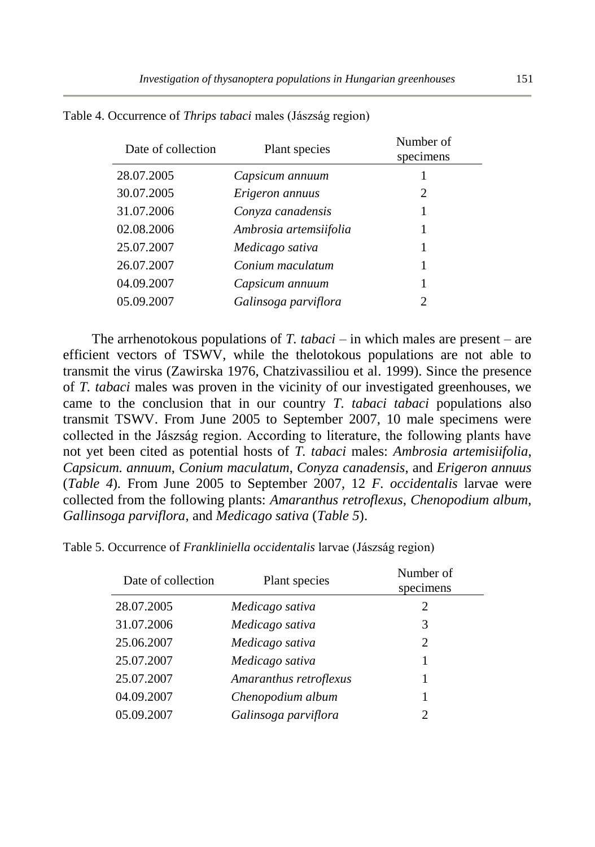| Date of collection | Plant species          | Number of<br>specimens |
|--------------------|------------------------|------------------------|
| 28.07.2005         | Capsicum annuum        |                        |
| 30.07.2005         | Erigeron annuus        | 2                      |
| 31.07.2006         | Conyza canadensis      |                        |
| 02.08.2006         | Ambrosia artemsiifolia |                        |
| 25.07.2007         | Medicago sativa        |                        |
| 26.07.2007         | Conium maculatum       |                        |
| 04.09.2007         | Capsicum annuum        |                        |
| 05.09.2007         | Galinsoga parviflora   | 2                      |

Table 4. Occurrence of *Thrips tabaci* males (Jászság region)

The arrhenotokous populations of *T. tabaci* – in which males are present – are efficient vectors of TSWV, while the thelotokous populations are not able to transmit the virus (Zawirska 1976, Chatzivassiliou et al. 1999). Since the presence of *T. tabaci* males was proven in the vicinity of our investigated greenhouses, we came to the conclusion that in our country *T. tabaci tabaci* populations also transmit TSWV. From June 2005 to September 2007, 10 male specimens were collected in the Jászság region. According to literature, the following plants have not yet been cited as potential hosts of *T. tabaci* males: *Ambrosia artemisiifolia*, *Capsicum. annuum*, *Conium maculatum*, *Conyza canadensis*, and *Erigeron annuus* (*Table 4*)*.* From June 2005 to September 2007, 12 *F. occidentalis* larvae were collected from the following plants: *Amaranthus retroflexus*, *Chenopodium album*, *Gallinsoga parviflora*, and *Medicago sativa* (*Table 5*).

Table 5. Occurrence of *Frankliniella occidentalis* larvae (Jászság region)

| Date of collection | Plant species          | Number of<br>specimens |
|--------------------|------------------------|------------------------|
| 28.07.2005         | Medicago sativa        | 2                      |
| 31.07.2006         | Medicago sativa        | 3                      |
| 25.06.2007         | Medicago sativa        | 2                      |
| 25.07.2007         | Medicago sativa        |                        |
| 25.07.2007         | Amaranthus retroflexus |                        |
| 04.09.2007         | Chenopodium album      |                        |
| 05.09.2007         | Galinsoga parviflora   |                        |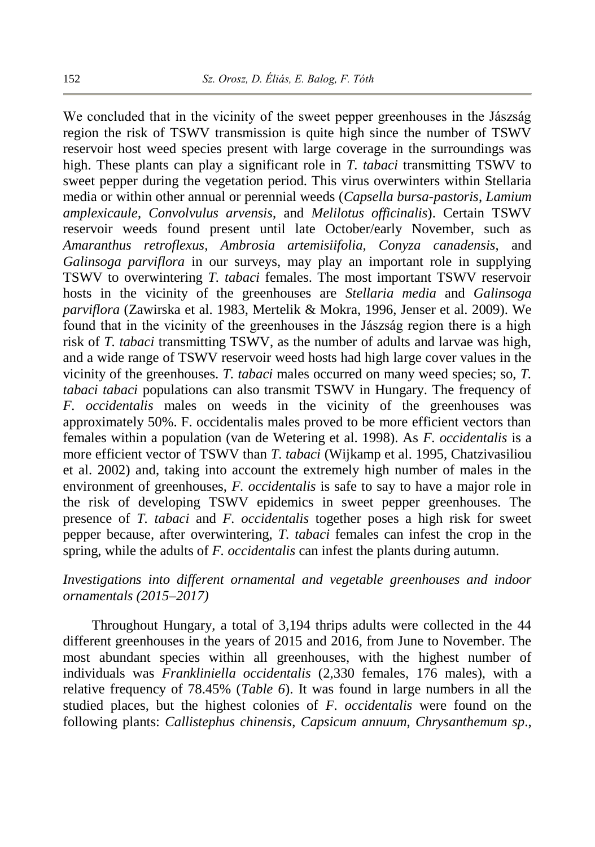We concluded that in the vicinity of the sweet pepper greenhouses in the Jászság region the risk of TSWV transmission is quite high since the number of TSWV reservoir host weed species present with large coverage in the surroundings was high. These plants can play a significant role in *T. tabaci* transmitting TSWV to sweet pepper during the vegetation period. This virus overwinters within Stellaria media or within other annual or perennial weeds (*Capsella bursa-pastoris*, *Lamium amplexicaule*, *Convolvulus arvensis*, and *Melilotus officinalis*). Certain TSWV reservoir weeds found present until late October/early November, such as *Amaranthus retroflexus*, *Ambrosia artemisiifolia*, *Conyza canadensis*, and *Galinsoga parviflora* in our surveys, may play an important role in supplying TSWV to overwintering *T. tabaci* females. The most important TSWV reservoir hosts in the vicinity of the greenhouses are *Stellaria media* and *Galinsoga parviflora* (Zawirska et al. 1983, Mertelik & Mokra, 1996, Jenser et al. 2009). We found that in the vicinity of the greenhouses in the Jászság region there is a high risk of *T. tabaci* transmitting TSWV, as the number of adults and larvae was high, and a wide range of TSWV reservoir weed hosts had high large cover values in the vicinity of the greenhouses. *T. tabaci* males occurred on many weed species; so, *T. tabaci tabaci* populations can also transmit TSWV in Hungary. The frequency of *F. occidentalis* males on weeds in the vicinity of the greenhouses was approximately 50%. F. occidentalis males proved to be more efficient vectors than females within a population (van de Wetering et al. 1998). As *F. occidentalis* is a more efficient vector of TSWV than *T. tabaci* (Wijkamp et al. 1995, Chatzivasiliou et al. 2002) and, taking into account the extremely high number of males in the environment of greenhouses, *F. occidentalis* is safe to say to have a major role in the risk of developing TSWV epidemics in sweet pepper greenhouses. The presence of *T. tabaci* and *F. occidentalis* together poses a high risk for sweet pepper because, after overwintering, *T. tabaci* females can infest the crop in the spring, while the adults of *F. occidentalis* can infest the plants during autumn.

## *Investigations into different ornamental and vegetable greenhouses and indoor ornamentals (2015–2017)*

Throughout Hungary, a total of 3,194 thrips adults were collected in the 44 different greenhouses in the years of 2015 and 2016, from June to November. The most abundant species within all greenhouses, with the highest number of individuals was *Frankliniella occidentalis* (2,330 females, 176 males), with a relative frequency of 78.45% (*Table 6*). It was found in large numbers in all the studied places, but the highest colonies of *F. occidentalis* were found on the following plants: *Callistephus chinensis*, *Capsicum annuum*, *Chrysanthemum sp*.,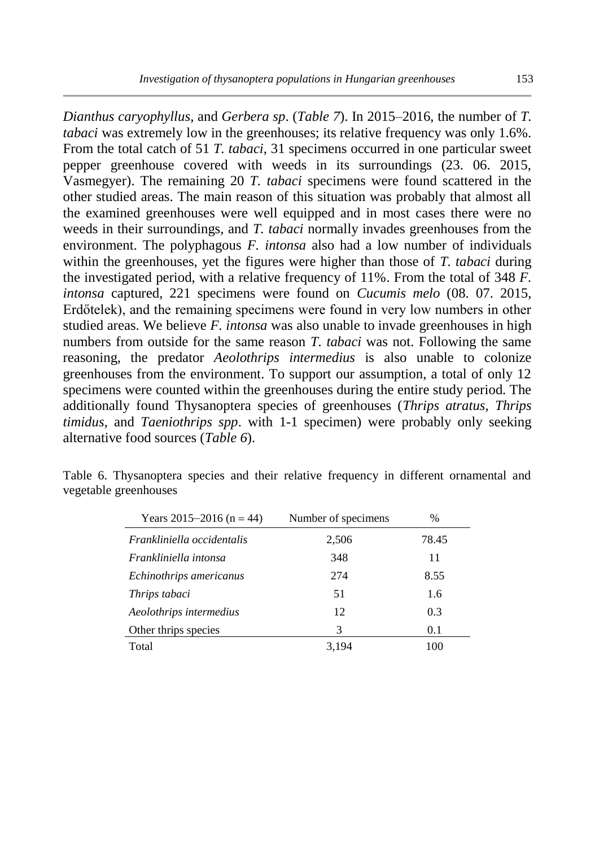*Dianthus caryophyllus*, and *Gerbera sp*. (*Table 7*). In 2015–2016, the number of *T. tabaci* was extremely low in the greenhouses; its relative frequency was only 1.6%. From the total catch of 51 *T. tabaci*, 31 specimens occurred in one particular sweet pepper greenhouse covered with weeds in its surroundings (23. 06. 2015, Vasmegyer). The remaining 20 *T. tabaci* specimens were found scattered in the other studied areas. The main reason of this situation was probably that almost all the examined greenhouses were well equipped and in most cases there were no weeds in their surroundings, and *T. tabaci* normally invades greenhouses from the environment. The polyphagous *F. intonsa* also had a low number of individuals within the greenhouses, yet the figures were higher than those of *T. tabaci* during the investigated period, with a relative frequency of 11%. From the total of 348 *F. intonsa* captured, 221 specimens were found on *Cucumis melo* (08. 07. 2015, Erdőtelek), and the remaining specimens were found in very low numbers in other studied areas. We believe *F. intonsa* was also unable to invade greenhouses in high numbers from outside for the same reason *T. tabaci* was not. Following the same reasoning, the predator *Aeolothrips intermedius* is also unable to colonize greenhouses from the environment. To support our assumption, a total of only 12 specimens were counted within the greenhouses during the entire study period. The additionally found Thysanoptera species of greenhouses (*Thrips atratus*, *Thrips timidus*, and *Taeniothrips spp*. with 1-1 specimen) were probably only seeking alternative food sources (*Table 6*).

| Years 2015–2016 (n = 44)   | Number of specimens | $\frac{0}{0}$ |
|----------------------------|---------------------|---------------|
| Frankliniella occidentalis | 2,506               | 78.45         |
| Frankliniella intonsa      | 348                 | 11            |
| Echinothrips americanus    | 274                 | 8.55          |
| Thrips tabaci              | 51                  | 1.6           |
| Aeolothrips intermedius    | 12                  | 0.3           |
| Other thrips species       | 3                   | 0.1           |
| Total                      | 3.194               | 100           |

Table 6. Thysanoptera species and their relative frequency in different ornamental and vegetable greenhouses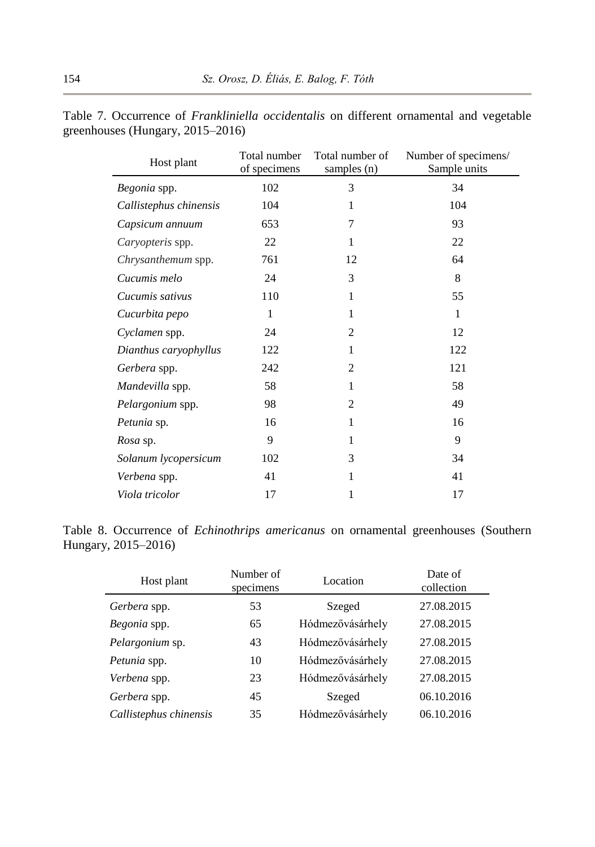| Host plant             | Total number<br>of specimens | Total number of<br>samples (n) | Number of specimens/<br>Sample units |
|------------------------|------------------------------|--------------------------------|--------------------------------------|
| Begonia spp.           | 102                          | 3                              | 34                                   |
| Callistephus chinensis | 104                          | 1                              | 104                                  |
| Capsicum annuum        | 653                          | 7                              | 93                                   |
| Caryopteris spp.       | 22                           | 1                              | 22                                   |
| Chrysanthemum spp.     | 761                          | 12                             | 64                                   |
| Cucumis melo           | 24                           | 3                              | 8                                    |
| Cucumis sativus        | 110                          | 1                              | 55                                   |
| Cucurbita pepo         | 1                            | 1                              | 1                                    |
| Cyclamen spp.          | 24                           | $\overline{c}$                 | 12                                   |
| Dianthus caryophyllus  | 122                          | 1                              | 122                                  |
| Gerbera spp.           | 242                          | 2                              | 121                                  |
| Mandevilla spp.        | 58                           | 1                              | 58                                   |
| Pelargonium spp.       | 98                           | 2                              | 49                                   |
| Petunia sp.            | 16                           | 1                              | 16                                   |
| Rosa sp.               | 9                            | 1                              | 9                                    |
| Solanum lycopersicum   | 102                          | 3                              | 34                                   |
| Verbena spp.           | 41                           | 1                              | 41                                   |
| Viola tricolor         | 17                           | 1                              | 17                                   |

Table 7. Occurrence of *Frankliniella occidentalis* on different ornamental and vegetable greenhouses (Hungary, 2015–2016)

Table 8. Occurrence of *Echinothrips americanus* on ornamental greenhouses (Southern Hungary, 2015–2016)

| Host plant             | Number of<br>specimens | Location         | Date of<br>collection |
|------------------------|------------------------|------------------|-----------------------|
| Gerbera spp.           | 53                     | Szeged           | 27.08.2015            |
| Begonia spp.           | 65                     | Hódmezővásárhely | 27.08.2015            |
| Pelargonium sp.        | 43                     | Hódmezővásárhely | 27.08.2015            |
| Petunia spp.           | 10                     | Hódmezővásárhely | 27.08.2015            |
| Verbena spp.           | 23                     | Hódmezővásárhely | 27.08.2015            |
| Gerbera spp.           | 45                     | Szeged           | 06.10.2016            |
| Callistephus chinensis | 35                     | Hódmezővásárhely | 06.10.2016            |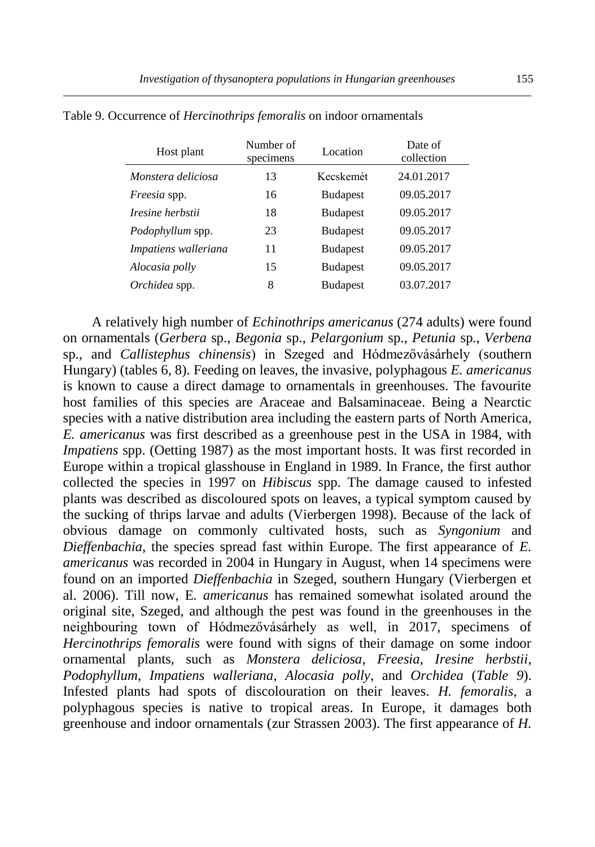| Host plant              | Number of<br>specimens | Location        | Date of<br>collection |
|-------------------------|------------------------|-----------------|-----------------------|
| Monstera deliciosa      | 13                     | Kecskemét       | 24.01.2017            |
| Freesia spp.            | 16                     | <b>Budapest</b> | 09.05.2017            |
| Iresine herbstii        | 18                     | <b>Budapest</b> | 09.05.2017            |
| <i>Podophyllum</i> spp. | 23                     | <b>Budapest</b> | 09.05.2017            |
| Impatiens walleriana    | 11                     | <b>Budapest</b> | 09.05.2017            |
| Alocasia polly          | 15                     | <b>Budapest</b> | 09.05.2017            |
| Orchidea spp.           | 8                      | <b>Budapest</b> | 03.07.2017            |

Table 9. Occurrence of *Hercinothrips femoralis* on indoor ornamentals

A relatively high number of *Echinothrips americanus* (274 adults) were found on ornamentals (*Gerbera* sp., *Begonia* sp., *Pelargonium* sp., *Petunia* sp., *Verbena* sp., and *Callistephus chinensis*) in Szeged and Hódmezővásárhely (southern Hungary) (tables 6, 8). Feeding on leaves, the invasive, polyphagous *E. americanus* is known to cause a direct damage to ornamentals in greenhouses. The favourite host families of this species are Araceae and Balsaminaceae. Being a Nearctic species with a native distribution area including the eastern parts of North America, *E. americanus* was first described as a greenhouse pest in the USA in 1984, with *Impatiens* spp. (Oetting 1987) as the most important hosts. It was first recorded in Europe within a tropical glasshouse in England in 1989. In France, the first author collected the species in 1997 on *Hibiscus* spp. The damage caused to infested plants was described as discoloured spots on leaves, a typical symptom caused by the sucking of thrips larvae and adults (Vierbergen 1998). Because of the lack of obvious damage on commonly cultivated hosts, such as *Syngonium* and *Dieffenbachia*, the species spread fast within Europe. The first appearance of *E. americanus* was recorded in 2004 in Hungary in August, when 14 specimens were found on an imported *Dieffenbachia* in Szeged, southern Hungary (Vierbergen et al. 2006). Till now, E*. americanus* has remained somewhat isolated around the original site, Szeged, and although the pest was found in the greenhouses in the neighbouring town of Hódmezővásárhely as well, in 2017, specimens of *Hercinothrips femoralis* were found with signs of their damage on some indoor ornamental plants, such as *Monstera deliciosa*, *Freesia*, *Iresine herbstii*, *Podophyllum*, *Impatiens walleriana*, *Alocasia polly*, and *Orchidea* (*Table 9*). Infested plants had spots of discolouration on their leaves. *H. femoralis*, a polyphagous species is native to tropical areas. In Europe, it damages both greenhouse and indoor ornamentals (zur Strassen 2003). The first appearance of *H.*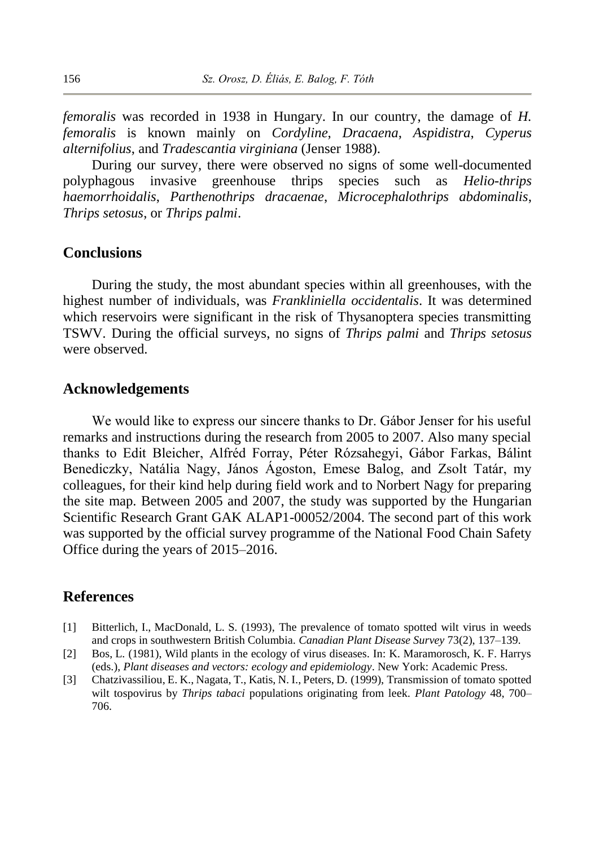*femoralis* was recorded in 1938 in Hungary. In our country, the damage of *H. femoralis* is known mainly on *Cordyline*, *Dracaena*, *Aspidistra*, *Cyperus alternifolius*, and *Tradescantia virginiana* (Jenser 1988).

During our survey, there were observed no signs of some well-documented polyphagous invasive greenhouse thrips species such as *Helio-thrips haemorrhoidalis*, *Parthenothrips dracaenae*, *Microcephalothrips abdominalis*, *Thrips setosus*, or *Thrips palmi*.

#### **Conclusions**

During the study, the most abundant species within all greenhouses, with the highest number of individuals, was *Frankliniella occidentalis*. It was determined which reservoirs were significant in the risk of Thysanoptera species transmitting TSWV*.* During the official surveys, no signs of *Thrips palmi* and *Thrips setosus* were observed.

## **Acknowledgements**

We would like to express our sincere thanks to Dr. Gábor Jenser for his useful remarks and instructions during the research from 2005 to 2007. Also many special thanks to Edit Bleicher, Alfréd Forray, Péter Rózsahegyi, Gábor Farkas, Bálint Benediczky, Natália Nagy, János Ágoston, Emese Balog, and Zsolt Tatár, my colleagues, for their kind help during field work and to Norbert Nagy for preparing the site map. Between 2005 and 2007, the study was supported by the Hungarian Scientific Research Grant GAK ALAP1-00052/2004. The second part of this work was supported by the official survey programme of the National Food Chain Safety Office during the years of 2015–2016.

### **References**

- [1] Bitterlich, I., MacDonald, L. S. (1993), The prevalence of tomato spotted wilt virus in weeds and crops in southwestern British Columbia. *Canadian Plant Disease Survey* 73(2), 137–139.
- [2] Bos, L. (1981), Wild plants in the ecology of virus diseases. In: K. Maramorosch, K. F. Harrys (eds.), *Plant diseases and vectors: ecology and epidemiology*. New York: Academic Press.
- [3] Chatzivassiliou, E. K., Nagata, T., Katis, N. I., Peters, D. (1999), Transmission of tomato spotted wilt tospovirus by *Thrips tabaci* populations originating from leek. *Plant Patology* 48, 700– 706.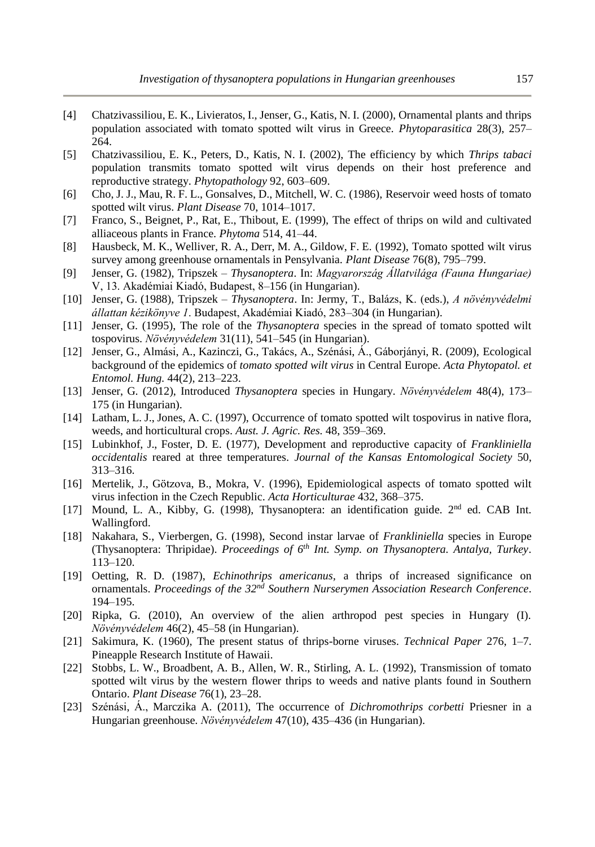- [4] Chatzivassiliou, E. K., Livieratos, I., Jenser, G., Katis, N. I. (2000), Ornamental plants and thrips population associated with tomato spotted wilt virus in Greece. *Phytoparasitica* 28(3), 257– 264.
- [5] Chatzivassiliou, E. K., Peters, D., Katis, N. I. (2002), The efficiency by which *Thrips tabaci* population transmits tomato spotted wilt virus depends on their host preference and reproductive strategy. *Phytopathology* 92, 603–609.
- [6] Cho, J. J., Mau, R. F. L., Gonsalves, D., Mitchell, W. C. (1986), Reservoir weed hosts of tomato spotted wilt virus. *Plant Disease* 70, 1014–1017.
- [7] Franco, S., Beignet, P., Rat, E., Thibout, E. (1999), The effect of thrips on wild and cultivated alliaceous plants in France. *Phytoma* 514, 41–44.
- [8] Hausbeck, M. K., Welliver, R. A., Derr, M. A., Gildow, F. E. (1992), Tomato spotted wilt virus survey among greenhouse ornamentals in Pensylvania. *Plant Disease* 76(8), 795–799.
- [9] Jenser, G. (1982), Tripszek *Thysanoptera*. In: *Magyarország Állatvilága (Fauna Hungariae)* V, 13. Akadémiai Kiadó, Budapest, 8–156 (in Hungarian).
- [10] Jenser, G. (1988), Tripszek *Thysanoptera*. In: Jermy, T., Balázs, K. (eds.), *A növényvédelmi állattan kézikönyve 1*. Budapest, Akadémiai Kiadó, 283–304 (in Hungarian).
- [11] Jenser, G. (1995), The role of the *Thysanoptera* species in the spread of tomato spotted wilt tospovirus. *Növényvédelem* 31(11), 541–545 (in Hungarian).
- [12] Jenser, G., Almási, A., Kazinczi, G., Takács, A., Szénási, Á., Gáborjányi, R. (2009), Ecological background of the epidemics of *tomato spotted wilt virus* in Central Europe. *Acta Phytopatol. et Entomol. Hung.* 44(2), 213–223.
- [13] Jenser, G. (2012), Introduced *Thysanoptera* species in Hungary. *Növényvédelem* 48(4), 173– 175 (in Hungarian).
- [14] Latham, L. J., Jones, A. C. (1997), Occurrence of tomato spotted wilt tospovirus in native flora, weeds, and horticultural crops. *Aust. J. Agric. Res.* 48, 359–369.
- [15] Lubinkhof, J., Foster, D. E. (1977), Development and reproductive capacity of *Frankliniella occidentalis* reared at three temperatures. *Journal of the Kansas Entomological Society* 50, 313–316.
- [16] Mertelik, J., Götzova, B., Mokra, V. (1996), Epidemiological aspects of tomato spotted wilt virus infection in the Czech Republic. *Acta Horticulturae* 432, 368–375.
- [17] Mound, L. A., Kibby, G. (1998), Thysanoptera: an identification guide.  $2<sup>nd</sup>$  ed. CAB Int. Wallingford.
- [18] Nakahara, S., Vierbergen, G. (1998), Second instar larvae of *Frankliniella* species in Europe (Thysanoptera: Thripidae). *Proceedings of 6th Int. Symp. on Thysanoptera. Antalya, Turkey*. 113–120.
- [19] Oetting, R. D. (1987), *Echinothrips americanus,* a thrips of increased significance on ornamentals. *Proceedings of the 32nd Southern Nurserymen Association Research Conference*. 194–195.
- [20] Ripka, G. (2010), An overview of the alien arthropod pest species in Hungary (I). *Növényvédelem* 46(2), 45–58 (in Hungarian).
- [21] Sakimura, K. (1960), The present status of thrips-borne viruses. *Technical Paper* 276, 1–7. Pineapple Research Institute of Hawaii.
- [22] Stobbs, L. W., Broadbent, A. B., Allen, W. R., Stirling, A. L. (1992), Transmission of tomato spotted wilt virus by the western flower thrips to weeds and native plants found in Southern Ontario. *Plant Disease* 76(1), 23–28.
- [23] Szénási, Á., Marczika A. (2011), The occurrence of *Dichromothrips corbetti* Priesner in a Hungarian greenhouse. *Növényvédelem* 47(10), 435–436 (in Hungarian).